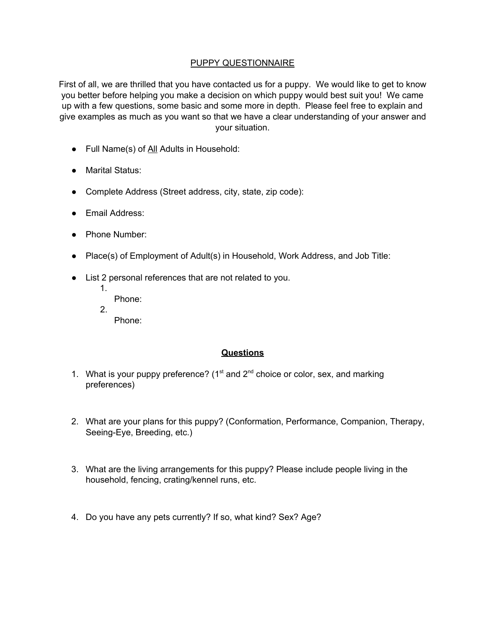## PUPPY QUESTIONNAIRE

First of all, we are thrilled that you have contacted us for a puppy. We would like to get to know you better before helping you make a decision on which puppy would best suit you! We came up with a few questions, some basic and some more in depth. Please feel free to explain and give examples as much as you want so that we have a clear understanding of your answer and your situation.

- Full Name(s) of All Adults in Household:
- Marital Status:
- Complete Address (Street address, city, state, zip code):
- Email Address:
- Phone Number:
- Place(s) of Employment of Adult(s) in Household, Work Address, and Job Title:
- List 2 personal references that are not related to you.
	- 1. Phone:
		-
	- 2. Phone:

## **Questions**

- 1. What is your puppy preference?  $(1<sup>st</sup>$  and  $2<sup>nd</sup>$  choice or color, sex, and marking preferences)
- 2. What are your plans for this puppy? (Conformation, Performance, Companion, Therapy, Seeing-Eye, Breeding, etc.)
- 3. What are the living arrangements for this puppy? Please include people living in the household, fencing, crating/kennel runs, etc.
- 4. Do you have any pets currently? If so, what kind? Sex? Age?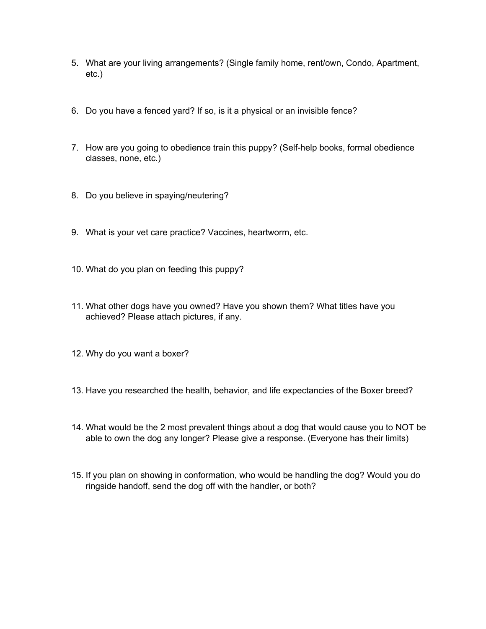- 5. What are your living arrangements? (Single family home, rent/own, Condo, Apartment, etc.)
- 6. Do you have a fenced yard? If so, is it a physical or an invisible fence?
- 7. How are you going to obedience train this puppy? (Self-help books, formal obedience classes, none, etc.)
- 8. Do you believe in spaying/neutering?
- 9. What is your vet care practice? Vaccines, heartworm, etc.
- 10. What do you plan on feeding this puppy?
- 11. What other dogs have you owned? Have you shown them? What titles have you achieved? Please attach pictures, if any.
- 12. Why do you want a boxer?
- 13. Have you researched the health, behavior, and life expectancies of the Boxer breed?
- 14. What would be the 2 most prevalent things about a dog that would cause you to NOT be able to own the dog any longer? Please give a response. (Everyone has their limits)
- 15. If you plan on showing in conformation, who would be handling the dog? Would you do ringside handoff, send the dog off with the handler, or both?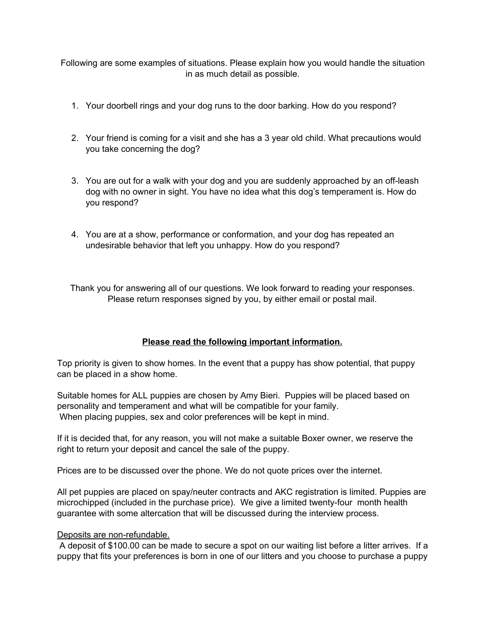Following are some examples of situations. Please explain how you would handle the situation in as much detail as possible.

- 1. Your doorbell rings and your dog runs to the door barking. How do you respond?
- 2. Your friend is coming for a visit and she has a 3 year old child. What precautions would you take concerning the dog?
- 3. You are out for a walk with your dog and you are suddenly approached by an off-leash dog with no owner in sight. You have no idea what this dog's temperament is. How do you respond?
- 4. You are at a show, performance or conformation, and your dog has repeated an undesirable behavior that left you unhappy. How do you respond?

Thank you for answering all of our questions. We look forward to reading your responses. Please return responses signed by you, by either email or postal mail.

## **Please read the following important information.**

Top priority is given to show homes. In the event that a puppy has show potential, that puppy can be placed in a show home.

Suitable homes for ALL puppies are chosen by Amy Bieri. Puppies will be placed based on personality and temperament and what will be compatible for your family. When placing puppies, sex and color preferences will be kept in mind.

If it is decided that, for any reason, you will not make a suitable Boxer owner, we reserve the right to return your deposit and cancel the sale of the puppy.

Prices are to be discussed over the phone. We do not quote prices over the internet.

All pet puppies are placed on spay/neuter contracts and AKC registration is limited. Puppies are microchipped (included in the purchase price). We give a limited twenty-four month health guarantee with some altercation that will be discussed during the interview process.

## Deposits are non-refundable.

A deposit of \$100.00 can be made to secure a spot on our waiting list before a litter arrives. If a puppy that fits your preferences is born in one of our litters and you choose to purchase a puppy